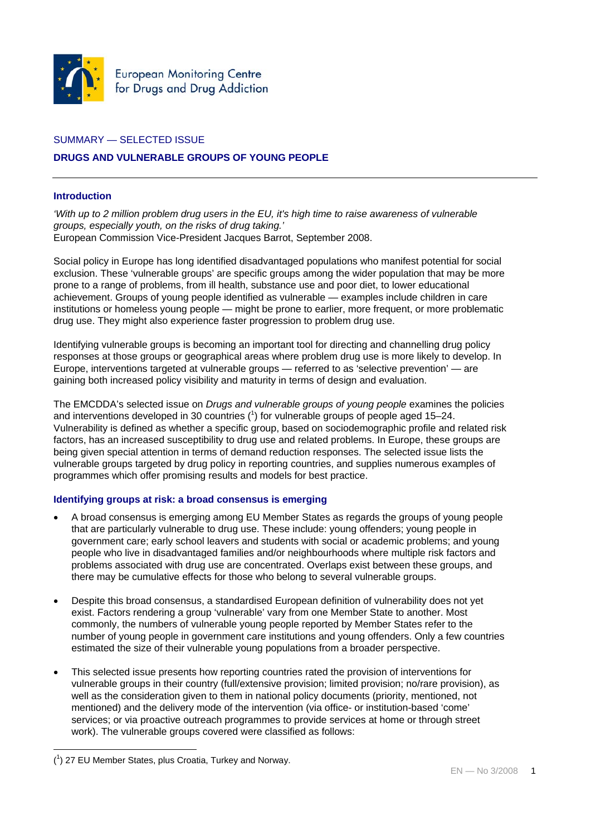

# SUMMARY — SELECTED ISSUE

# **DRUGS AND VULNERABLE GROUPS OF YOUNG PEOPLE**

## **Introduction**

*'With up to 2 million problem drug users in the EU, it's high time to raise awareness of vulnerable groups, especially youth, on the risks of drug taking.'*  European Commission Vice-President Jacques Barrot, September 2008.

Social policy in Europe has long identified disadvantaged populations who manifest potential for social exclusion. These 'vulnerable groups' are specific groups among the wider population that may be more prone to a range of problems, from ill health, substance use and poor diet, to lower educational achievement. Groups of young people identified as vulnerable — examples include children in care institutions or homeless young people — might be prone to earlier, more frequent, or more problematic drug use. They might also experience faster progression to problem drug use.

Identifying vulnerable groups is becoming an important tool for directing and channelling drug policy responses at those groups or geographical areas where problem drug use is more likely to develop. In Europe, interventions targeted at vulnerable groups — referred to as 'selective prevention' — are gaining both increased policy visibility and maturity in terms of design and evaluation.

The EMCDDA's selected issue on *Drugs and vulnerable groups of young people* examines the policies and interventions developed in 30 countries  $(1)$  for vulnerable groups of people aged 15–24. Vulnerability is defined as whether a specific group, based on sociodemographic profile and related risk factors, has an increased susceptibility to drug use and related problems. In Europe, these groups are being given special attention in terms of demand reduction responses. The selected issue lists the vulnerable groups targeted by drug policy in reporting countries, and supplies numerous examples of programmes which offer promising results and models for best practice.

## **Identifying groups at risk: a broad consensus is emerging**

- A broad consensus is emerging among EU Member States as regards the groups of young people that are particularly vulnerable to drug use. These include: young offenders; young people in government care; early school leavers and students with social or academic problems; and young people who live in disadvantaged families and/or neighbourhoods where multiple risk factors and problems associated with drug use are concentrated. Overlaps exist between these groups, and there may be cumulative effects for those who belong to several vulnerable groups.
- Despite this broad consensus, a standardised European definition of vulnerability does not yet exist. Factors rendering a group 'vulnerable' vary from one Member State to another. Most commonly, the numbers of vulnerable young people reported by Member States refer to the number of young people in government care institutions and young offenders. Only a few countries estimated the size of their vulnerable young populations from a broader perspective.
- This selected issue presents how reporting countries rated the provision of interventions for vulnerable groups in their country (full/extensive provision; limited provision; no/rare provision), as well as the consideration given to them in national policy documents (priority, mentioned, not mentioned) and the delivery mode of the intervention (via office- or institution-based 'come' services; or via proactive outreach programmes to provide services at home or through street work). The vulnerable groups covered were classified as follows:

<sup>1</sup> ( 1 ) 27 EU Member States, plus Croatia, Turkey and Norway.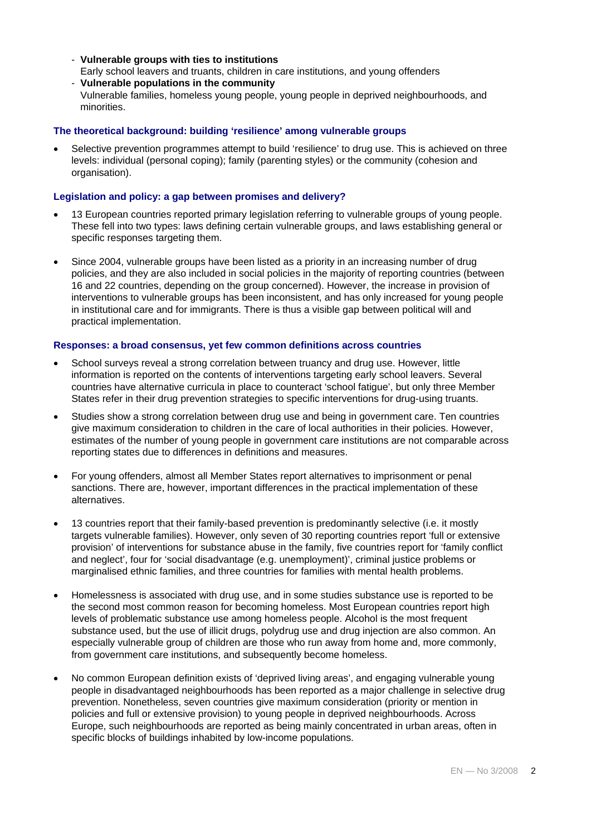- **Vulnerable groups with ties to institutions**
- Early school leavers and truants, children in care institutions, and young offenders
- **Vulnerable populations in the community** Vulnerable families, homeless young people, young people in deprived neighbourhoods, and minorities.

### **The theoretical background: building 'resilience' among vulnerable groups**

Selective prevention programmes attempt to build 'resilience' to drug use. This is achieved on three levels: individual (personal coping); family (parenting styles) or the community (cohesion and organisation).

#### **Legislation and policy: a gap between promises and delivery?**

- 13 European countries reported primary legislation referring to vulnerable groups of young people. These fell into two types: laws defining certain vulnerable groups, and laws establishing general or specific responses targeting them.
- Since 2004, vulnerable groups have been listed as a priority in an increasing number of drug policies, and they are also included in social policies in the majority of reporting countries (between 16 and 22 countries, depending on the group concerned). However, the increase in provision of interventions to vulnerable groups has been inconsistent, and has only increased for young people in institutional care and for immigrants. There is thus a visible gap between political will and practical implementation.

#### **Responses: a broad consensus, yet few common definitions across countries**

- School surveys reveal a strong correlation between truancy and drug use. However, little information is reported on the contents of interventions targeting early school leavers. Several countries have alternative curricula in place to counteract 'school fatigue', but only three Member States refer in their drug prevention strategies to specific interventions for drug-using truants.
- Studies show a strong correlation between drug use and being in government care. Ten countries give maximum consideration to children in the care of local authorities in their policies. However, estimates of the number of young people in government care institutions are not comparable across reporting states due to differences in definitions and measures.
- For young offenders, almost all Member States report alternatives to imprisonment or penal sanctions. There are, however, important differences in the practical implementation of these alternatives.
- 13 countries report that their family-based prevention is predominantly selective (i.e. it mostly targets vulnerable families). However, only seven of 30 reporting countries report 'full or extensive provision' of interventions for substance abuse in the family, five countries report for 'family conflict and neglect', four for 'social disadvantage (e.g. unemployment)', criminal justice problems or marginalised ethnic families, and three countries for families with mental health problems.
- Homelessness is associated with drug use, and in some studies substance use is reported to be the second most common reason for becoming homeless. Most European countries report high levels of problematic substance use among homeless people. Alcohol is the most frequent substance used, but the use of illicit drugs, polydrug use and drug injection are also common. An especially vulnerable group of children are those who run away from home and, more commonly, from government care institutions, and subsequently become homeless.
- No common European definition exists of 'deprived living areas', and engaging vulnerable young people in disadvantaged neighbourhoods has been reported as a major challenge in selective drug prevention. Nonetheless, seven countries give maximum consideration (priority or mention in policies and full or extensive provision) to young people in deprived neighbourhoods. Across Europe, such neighbourhoods are reported as being mainly concentrated in urban areas, often in specific blocks of buildings inhabited by low-income populations.